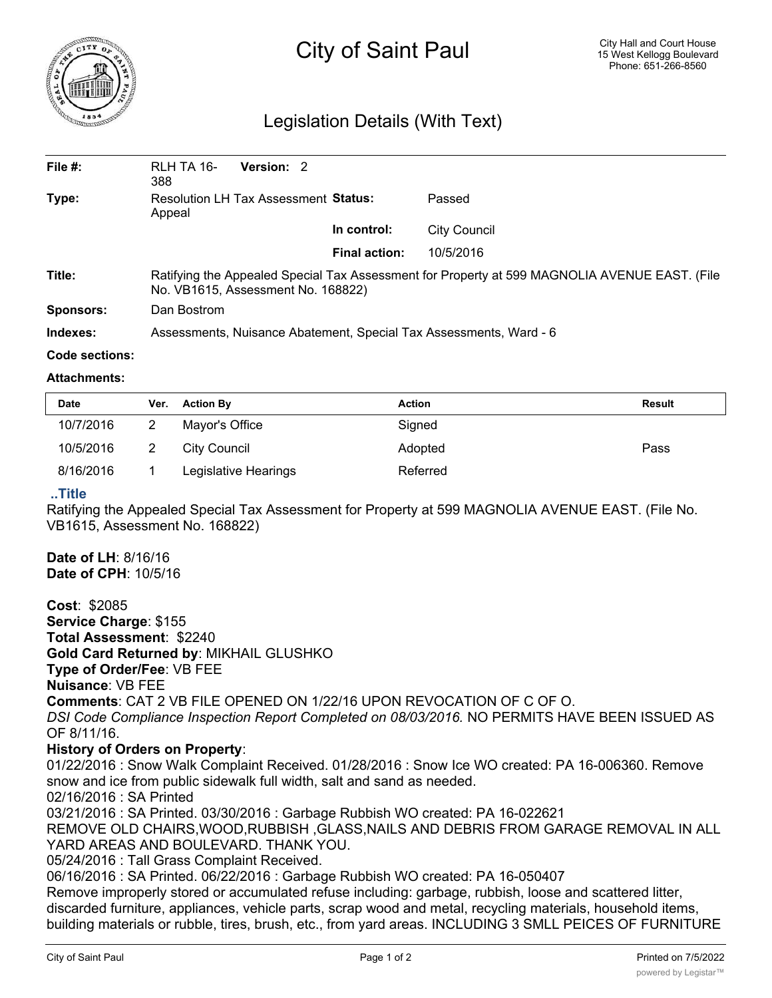

# City of Saint Paul

## Legislation Details (With Text)

| File #:          | <b>Version: 2</b><br>RLH TA 16-<br>388                                                                                              |               |              |  |  |
|------------------|-------------------------------------------------------------------------------------------------------------------------------------|---------------|--------------|--|--|
| Type:            | Resolution LH Tax Assessment Status:<br>Appeal                                                                                      |               | Passed       |  |  |
|                  |                                                                                                                                     | In control:   | City Council |  |  |
|                  |                                                                                                                                     | Final action: | 10/5/2016    |  |  |
| Title:           | Ratifying the Appealed Special Tax Assessment for Property at 599 MAGNOLIA AVENUE EAST. (File<br>No. VB1615, Assessment No. 168822) |               |              |  |  |
| <b>Sponsors:</b> | Dan Bostrom                                                                                                                         |               |              |  |  |
| Indexes:         | Assessments, Nuisance Abatement, Special Tax Assessments, Ward - 6                                                                  |               |              |  |  |

#### **Code sections:**

#### **Attachments:**

| <b>Date</b> | Ver. | <b>Action By</b>     | Action   | Result |
|-------------|------|----------------------|----------|--------|
| 10/7/2016   |      | Mayor's Office       | Signed   |        |
| 10/5/2016   |      | City Council         | Adopted  | Pass   |
| 8/16/2016   |      | Legislative Hearings | Referred |        |

#### **..Title**

Ratifying the Appealed Special Tax Assessment for Property at 599 MAGNOLIA AVENUE EAST. (File No. VB1615, Assessment No. 168822)

**Date of LH**: 8/16/16 **Date of CPH**: 10/5/16

**Cost**: \$2085

**Service Charge**: \$155 **Total Assessment**: \$2240 **Gold Card Returned by**: MIKHAIL GLUSHKO **Type of Order/Fee**: VB FEE **Nuisance**: VB FEE **Comments**: CAT 2 VB FILE OPENED ON 1/22/16 UPON REVOCATION OF C OF O. *DSI Code Compliance Inspection Report Completed on 08/03/2016.* NO PERMITS HAVE BEEN ISSUED AS OF 8/11/16.

### **History of Orders on Property**:

01/22/2016 : Snow Walk Complaint Received. 01/28/2016 : Snow Ice WO created: PA 16-006360. Remove snow and ice from public sidewalk full width, salt and sand as needed. 02/16/2016 : SA Printed 03/21/2016 : SA Printed. 03/30/2016 : Garbage Rubbish WO created: PA 16-022621 REMOVE OLD CHAIRS,WOOD,RUBBISH ,GLASS,NAILS AND DEBRIS FROM GARAGE REMOVAL IN ALL YARD AREAS AND BOULEVARD. THANK YOU. 05/24/2016 : Tall Grass Complaint Received. 06/16/2016 : SA Printed. 06/22/2016 : Garbage Rubbish WO created: PA 16-050407 Remove improperly stored or accumulated refuse including: garbage, rubbish, loose and scattered litter, discarded furniture, appliances, vehicle parts, scrap wood and metal, recycling materials, household items, building materials or rubble, tires, brush, etc., from yard areas. INCLUDING 3 SMLL PEICES OF FURNITURE